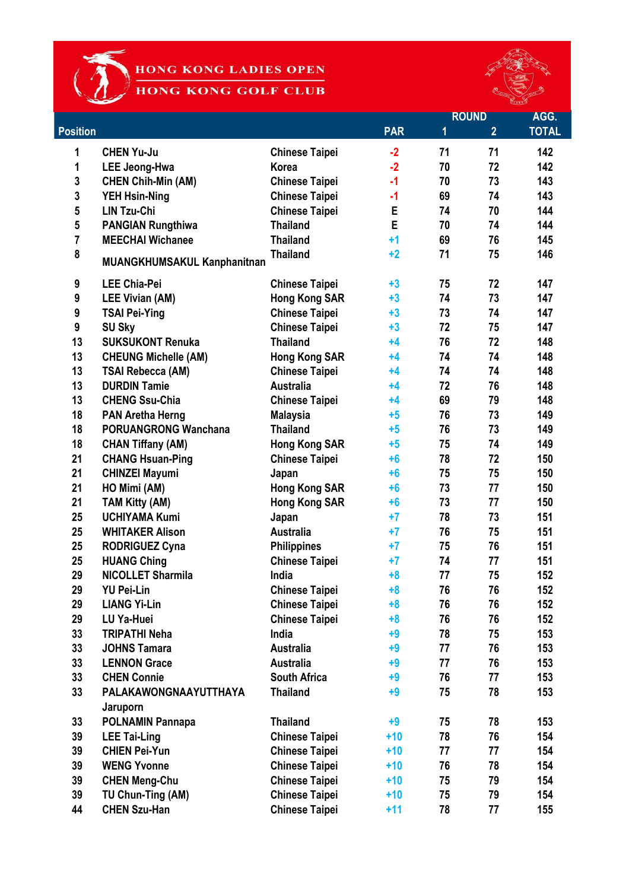1

HONG KONG LADIES OPEN HONG KONG GOLF CLUB



|                 |                                    |                       |            | <b>ROUND</b> |                | AGG.         |
|-----------------|------------------------------------|-----------------------|------------|--------------|----------------|--------------|
| <b>Position</b> |                                    |                       | <b>PAR</b> | 1            | $\overline{2}$ | <b>TOTAL</b> |
| 1               | <b>CHEN Yu-Ju</b>                  | <b>Chinese Taipei</b> | $-2$       | 71           | 71             | 142          |
| 1               | <b>LEE Jeong-Hwa</b>               | <b>Korea</b>          | $-2$       | 70           | 72             | 142          |
| 3               | <b>CHEN Chih-Min (AM)</b>          | <b>Chinese Taipei</b> | $-1$       | 70           | 73             | 143          |
| 3               | <b>YEH Hsin-Ning</b>               | <b>Chinese Taipei</b> | -1         | 69           | 74             | 143          |
| 5               | <b>LIN Tzu-Chi</b>                 | <b>Chinese Taipei</b> | E          | 74           | 70             | 144          |
| 5               | <b>PANGIAN Rungthiwa</b>           | <b>Thailand</b>       | E          | 70           | 74             | 144          |
| $\overline{7}$  | <b>MEECHAI Wichanee</b>            | <b>Thailand</b>       | $+1$       | 69           | 76             | 145          |
| 8               | <b>MUANGKHUMSAKUL Kanphanitnan</b> | <b>Thailand</b>       | $+2$       | 71           | 75             | 146          |
| 9               | <b>LEE Chia-Pei</b>                | <b>Chinese Taipei</b> | $+3$       | 75           | 72             | 147          |
| 9               | <b>LEE Vivian (AM)</b>             | <b>Hong Kong SAR</b>  | $+3$       | 74           | 73             | 147          |
| 9               | <b>TSAI Pei-Ying</b>               | <b>Chinese Taipei</b> | $+3$       | 73           | 74             | 147          |
| 9               | <b>SU Sky</b>                      | <b>Chinese Taipei</b> | $+3$       | 72           | 75             | 147          |
| 13              | <b>SUKSUKONT Renuka</b>            | <b>Thailand</b>       | $+4$       | 76           | 72             | 148          |
| 13              | <b>CHEUNG Michelle (AM)</b>        | <b>Hong Kong SAR</b>  | $+4$       | 74           | 74             | 148          |
| 13              | <b>TSAI Rebecca (AM)</b>           | <b>Chinese Taipei</b> | $+4$       | 74           | 74             | 148          |
| 13              | <b>DURDIN Tamie</b>                | <b>Australia</b>      | $+4$       | 72           | 76             | 148          |
| 13              | <b>CHENG Ssu-Chia</b>              | <b>Chinese Taipei</b> | $+4$       | 69           | 79             | 148          |
| 18              | <b>PAN Aretha Herng</b>            | <b>Malaysia</b>       | $+5$       | 76           | 73             | 149          |
| 18              | <b>PORUANGRONG Wanchana</b>        | <b>Thailand</b>       | $+5$       | 76           | 73             | 149          |
| 18              | <b>CHAN Tiffany (AM)</b>           | <b>Hong Kong SAR</b>  | $+5$       | 75           | 74             | 149          |
| 21              | <b>CHANG Hsuan-Ping</b>            | <b>Chinese Taipei</b> | $+6$       | 78           | 72             | 150          |
| 21              | <b>CHINZEI Mayumi</b>              | Japan                 | $+6$       | 75           | 75             | 150          |
| 21              | HO Mimi (AM)                       | <b>Hong Kong SAR</b>  | $+6$       | 73           | 77             | 150          |
| 21              | <b>TAM Kitty (AM)</b>              | <b>Hong Kong SAR</b>  | $+6$       | 73           | 77             | 150          |
| 25              | <b>UCHIYAMA Kumi</b>               | Japan                 | $+7$       | 78           | 73             | 151          |
| 25              | <b>WHITAKER Alison</b>             | <b>Australia</b>      | $+7$       | 76           | 75             | 151          |
| 25              | <b>RODRIGUEZ Cyna</b>              | <b>Philippines</b>    | $+7$       | 75           | 76             | 151          |
| 25              | <b>HUANG Ching</b>                 | <b>Chinese Taipei</b> | $+7$       | 74           | 77             | 151          |
| 29              | <b>NICOLLET Sharmila</b>           | India                 | $+8$       | 77           | 75             | 152          |
| 29              | <b>YU Pei-Lin</b>                  | <b>Chinese Taipei</b> | $+8$       | 76           | 76             | 152          |
| 29              | <b>LIANG Yi-Lin</b>                | <b>Chinese Taipei</b> | $+8$       | 76           | 76             | 152          |
| 29              | LU Ya-Huei                         | <b>Chinese Taipei</b> | $+8$       | 76           | 76             | 152          |
| 33              | <b>TRIPATHI Neha</b>               | India                 | $+9$       | 78           | 75             | 153          |
| 33              | <b>JOHNS Tamara</b>                | <b>Australia</b>      | $+9$       | 77           | 76             | 153          |
| 33              | <b>LENNON Grace</b>                | <b>Australia</b>      | $+9$       | 77           | 76             | 153          |
| 33              | <b>CHEN Connie</b>                 | <b>South Africa</b>   | $+9$       | 76           | 77             | 153          |
| 33              | PALAKAWONGNAAYUTTHAYA              | <b>Thailand</b>       | $+9$       | 75           | 78             | 153          |
|                 | Jaruporn                           |                       |            |              |                |              |
| 33              | <b>POLNAMIN Pannapa</b>            | <b>Thailand</b>       | $+9$       | 75           | 78             | 153          |
| 39              | <b>LEE Tai-Ling</b>                | <b>Chinese Taipei</b> | $+10$      | 78           | 76             | 154          |
| 39              | <b>CHIEN Pei-Yun</b>               | <b>Chinese Taipei</b> | $+10$      | 77           | 77             | 154          |
| 39              | <b>WENG Yvonne</b>                 | <b>Chinese Taipei</b> | $+10$      | 76           | 78             | 154          |
| 39              | <b>CHEN Meng-Chu</b>               | <b>Chinese Taipei</b> | $+10$      | 75           | 79             | 154          |
| 39              | TU Chun-Ting (AM)                  | <b>Chinese Taipei</b> | $+10$      | 75           | 79             | 154          |
| 44              | <b>CHEN Szu-Han</b>                | <b>Chinese Taipei</b> | $+11$      | 78           | 77             | 155          |